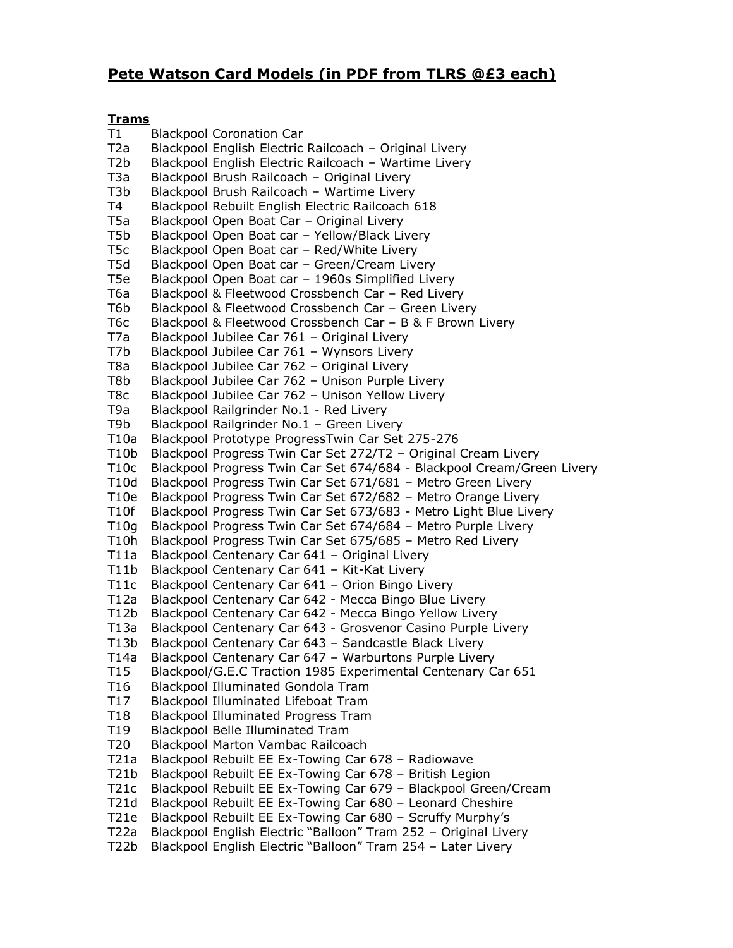## **Pete Watson Card Models (in PDF from TLRS @£3 each)**

## **Trams**

T1 Blackpool Coronation Car T2a Blackpool English Electric Railcoach – Original Livery T2b Blackpool English Electric Railcoach – Wartime Livery T3a Blackpool Brush Railcoach – Original Livery T3b Blackpool Brush Railcoach – Wartime Livery T4 Blackpool Rebuilt English Electric Railcoach 618 T5a Blackpool Open Boat Car – Original Livery T5b Blackpool Open Boat car – Yellow/Black Livery T5c Blackpool Open Boat car – Red/White Livery T5d Blackpool Open Boat car - Green/Cream Livery T5e Blackpool Open Boat car – 1960s Simplified Livery T6a Blackpool & Fleetwood Crossbench Car – Red Livery T6b Blackpool & Fleetwood Crossbench Car - Green Livery T6c Blackpool & Fleetwood Crossbench Car – B & F Brown Livery T7a Blackpool Jubilee Car 761 – Original Livery T7b Blackpool Jubilee Car 761 – Wynsors Livery T8a Blackpool Jubilee Car 762 – Original Livery T8b Blackpool Jubilee Car 762 – Unison Purple Livery T8c Blackpool Jubilee Car 762 – Unison Yellow Livery T9a Blackpool Railgrinder No.1 - Red Livery T9b Blackpool Railgrinder No.1 – Green Livery T10a Blackpool Prototype ProgressTwin Car Set 275-276 T10b Blackpool Progress Twin Car Set 272/T2 – Original Cream Livery T10c Blackpool Progress Twin Car Set 674/684 - Blackpool Cream/Green Livery T10d Blackpool Progress Twin Car Set 671/681 – Metro Green Livery T10e Blackpool Progress Twin Car Set 672/682 – Metro Orange Livery T10f Blackpool Progress Twin Car Set 673/683 - Metro Light Blue Livery T10g Blackpool Progress Twin Car Set 674/684 – Metro Purple Livery T10h Blackpool Progress Twin Car Set 675/685 – Metro Red Livery T11a Blackpool Centenary Car 641 – Original Livery T11b Blackpool Centenary Car 641 – Kit-Kat Livery T11c Blackpool Centenary Car 641 – Orion Bingo Livery T12a Blackpool Centenary Car 642 - Mecca Bingo Blue Livery T12b Blackpool Centenary Car 642 - Mecca Bingo Yellow Livery T13a Blackpool Centenary Car 643 - Grosvenor Casino Purple Livery T13b Blackpool Centenary Car 643 – Sandcastle Black Livery T14a Blackpool Centenary Car 647 – Warburtons Purple Livery T15 Blackpool/G.E.C Traction 1985 Experimental Centenary Car 651 T16 Blackpool Illuminated Gondola Tram T17 Blackpool Illuminated Lifeboat Tram T18 Blackpool Illuminated Progress Tram T19 Blackpool Belle Illuminated Tram T20 Blackpool Marton Vambac Railcoach T21a Blackpool Rebuilt EE Ex-Towing Car 678 – Radiowave T21b Blackpool Rebuilt EE Ex-Towing Car 678 – British Legion T21c Blackpool Rebuilt EE Ex-Towing Car 679 – Blackpool Green/Cream T21d Blackpool Rebuilt EE Ex-Towing Car 680 – Leonard Cheshire T21e Blackpool Rebuilt EE Ex-Towing Car 680 – Scruffy Murphy's T22a Blackpool English Electric "Balloon" Tram 252 – Original Livery T22b Blackpool English Electric "Balloon" Tram 254 – Later Livery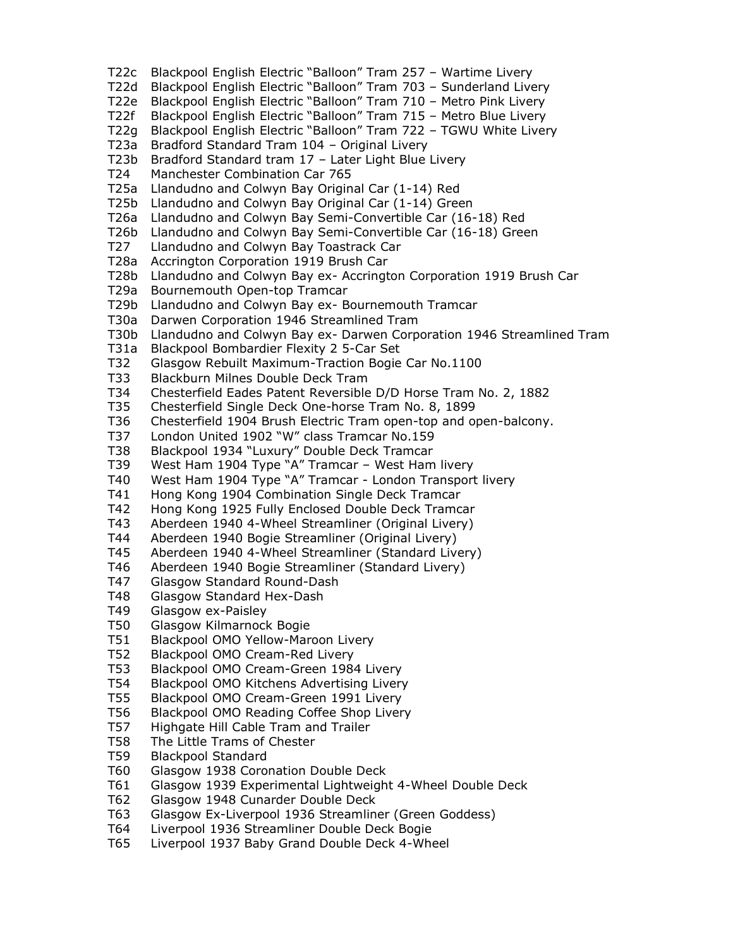- T22c Blackpool English Electric "Balloon" Tram 257 Wartime Livery
- T22d Blackpool English Electric "Balloon" Tram 703 Sunderland Livery
- T22e Blackpool English Electric "Balloon" Tram 710 Metro Pink Livery
- T22f Blackpool English Electric "Balloon" Tram 715 Metro Blue Livery
- T22g Blackpool English Electric "Balloon" Tram 722 TGWU White Livery
- T23a Bradford Standard Tram 104 Original Livery
- T23b Bradford Standard tram 17 Later Light Blue Livery
- T24 Manchester Combination Car 765
- T25a Llandudno and Colwyn Bay Original Car (1-14) Red
- T25b Llandudno and Colwyn Bay Original Car (1-14) Green
- T26a Llandudno and Colwyn Bay Semi-Convertible Car (16-18) Red
- T26b Llandudno and Colwyn Bay Semi-Convertible Car (16-18) Green
- T27 Llandudno and Colwyn Bay Toastrack Car
- T28a Accrington Corporation 1919 Brush Car
- T28b Llandudno and Colwyn Bay ex- Accrington Corporation 1919 Brush Car
- T29a Bournemouth Open-top Tramcar
- T29b Llandudno and Colwyn Bay ex- Bournemouth Tramcar
- T30a Darwen Corporation 1946 Streamlined Tram
- T30b Llandudno and Colwyn Bay ex- Darwen Corporation 1946 Streamlined Tram
- T31a Blackpool Bombardier Flexity 2 5-Car Set
- T32 Glasgow Rebuilt Maximum-Traction Bogie Car No.1100
- T33 Blackburn Milnes Double Deck Tram
- T34 Chesterfield Eades Patent Reversible D/D Horse Tram No. 2, 1882
- T35 Chesterfield Single Deck One-horse Tram No. 8, 1899
- T36 Chesterfield 1904 Brush Electric Tram open-top and open-balcony.
- T37 London United 1902 "W" class Tramcar No.159
- T38 Blackpool 1934 "Luxury" Double Deck Tramcar
- T39 West Ham 1904 Type "A" Tramcar West Ham livery
- T40 West Ham 1904 Type "A" Tramcar London Transport livery
- T41 Hong Kong 1904 Combination Single Deck Tramcar
- T42 Hong Kong 1925 Fully Enclosed Double Deck Tramcar
- T43 Aberdeen 1940 4-Wheel Streamliner (Original Livery)
- T44 Aberdeen 1940 Bogie Streamliner (Original Livery)
- T45 Aberdeen 1940 4-Wheel Streamliner (Standard Livery)
- T46 Aberdeen 1940 Bogie Streamliner (Standard Livery)
- T47 Glasgow Standard Round-Dash
- T48 Glasgow Standard Hex-Dash
- T49 Glasgow ex-Paisley
- T50 Glasgow Kilmarnock Bogie
- T51 Blackpool OMO Yellow-Maroon Livery
- T52 Blackpool OMO Cream-Red Livery
- T53 Blackpool OMO Cream-Green 1984 Livery
- T54 Blackpool OMO Kitchens Advertising Livery
- T55 Blackpool OMO Cream-Green 1991 Livery
- T56 Blackpool OMO Reading Coffee Shop Livery
- T57 Highgate Hill Cable Tram and Trailer
- T58 The Little Trams of Chester
- T59 Blackpool Standard
- T60 Glasgow 1938 Coronation Double Deck
- T61 Glasgow 1939 Experimental Lightweight 4-Wheel Double Deck
- T62 Glasgow 1948 Cunarder Double Deck
- T63 Glasgow Ex-Liverpool 1936 Streamliner (Green Goddess)
- T64 Liverpool 1936 Streamliner Double Deck Bogie
- T65 Liverpool 1937 Baby Grand Double Deck 4-Wheel